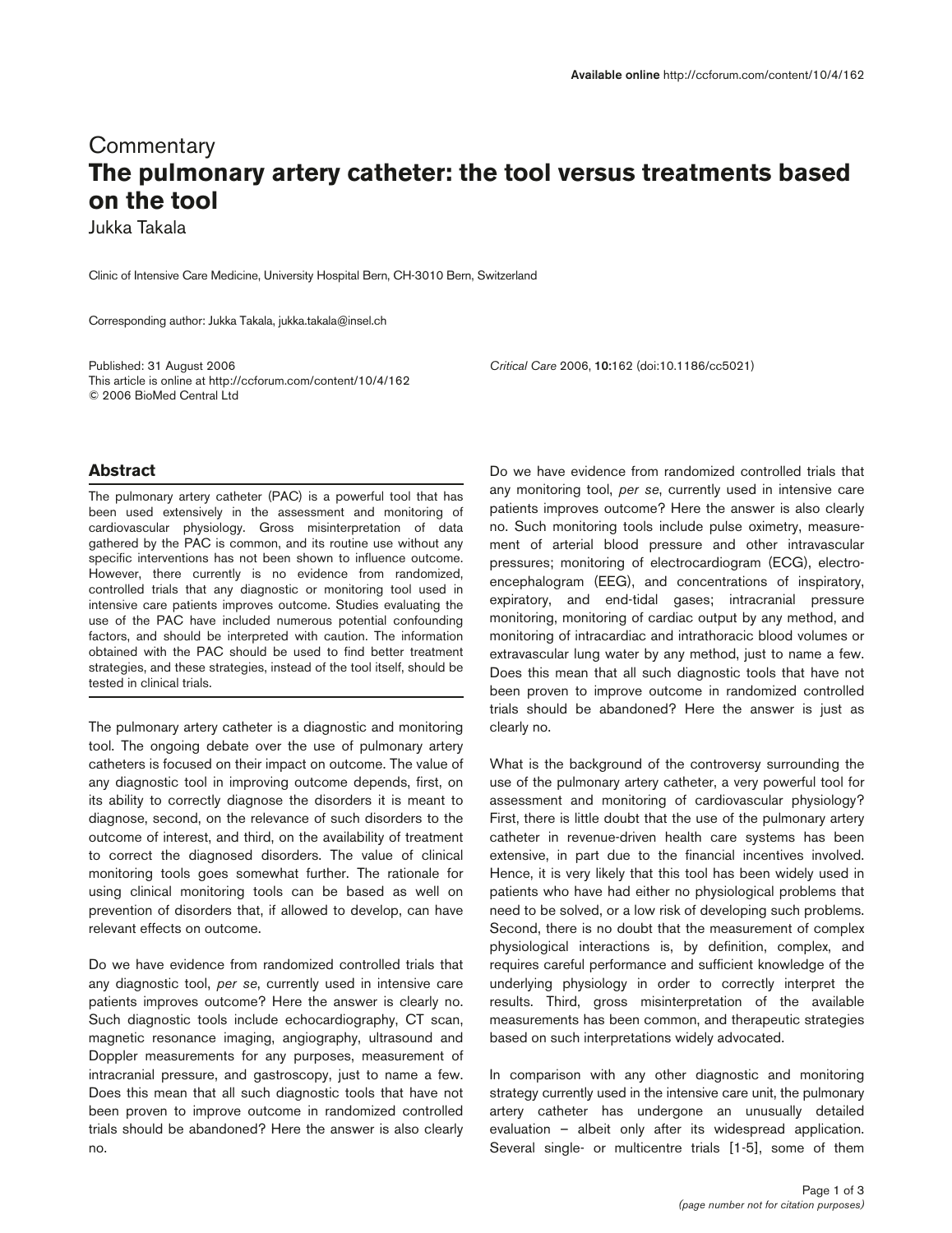## **Commentary The pulmonary artery catheter: the tool versus treatments based on the tool**

Jukka Takala

Clinic of Intensive Care Medicine, University Hospital Bern, CH-3010 Bern, Switzerland

Corresponding author: Jukka Takala, jukka.takala@insel.ch

Published: 31 August 2006 *Critical Care* 2006, **10:**162 (doi:10.1186/cc5021) This article is online at http://ccforum.com/content/10/4/162 © 2006 BioMed Central Ltd

## **Abstract**

The pulmonary artery catheter (PAC) is a powerful tool that has been used extensively in the assessment and monitoring of cardiovascular physiology. Gross misinterpretation of data gathered by the PAC is common, and its routine use without any specific interventions has not been shown to influence outcome. However, there currently is no evidence from randomized, controlled trials that any diagnostic or monitoring tool used in intensive care patients improves outcome. Studies evaluating the use of the PAC have included numerous potential confounding factors, and should be interpreted with caution. The information obtained with the PAC should be used to find better treatment strategies, and these strategies, instead of the tool itself, should be tested in clinical trials.

The pulmonary artery catheter is a diagnostic and monitoring tool. The ongoing debate over the use of pulmonary artery catheters is focused on their impact on outcome. The value of any diagnostic tool in improving outcome depends, first, on its ability to correctly diagnose the disorders it is meant to diagnose, second, on the relevance of such disorders to the outcome of interest, and third, on the availability of treatment to correct the diagnosed disorders. The value of clinical monitoring tools goes somewhat further. The rationale for using clinical monitoring tools can be based as well on prevention of disorders that, if allowed to develop, can have relevant effects on outcome.

Do we have evidence from randomized controlled trials that any diagnostic tool, *per se*, currently used in intensive care patients improves outcome? Here the answer is clearly no. Such diagnostic tools include echocardiography, CT scan, magnetic resonance imaging, angiography, ultrasound and Doppler measurements for any purposes, measurement of intracranial pressure, and gastroscopy, just to name a few. Does this mean that all such diagnostic tools that have not been proven to improve outcome in randomized controlled trials should be abandoned? Here the answer is also clearly no.

Do we have evidence from randomized controlled trials that any monitoring tool, *per se*, currently used in intensive care patients improves outcome? Here the answer is also clearly no. Such monitoring tools include pulse oximetry, measurement of arterial blood pressure and other intravascular pressures; monitoring of electrocardiogram (ECG), electroencephalogram (EEG), and concentrations of inspiratory, expiratory, and end-tidal gases; intracranial pressure monitoring, monitoring of cardiac output by any method, and monitoring of intracardiac and intrathoracic blood volumes or extravascular lung water by any method, just to name a few. Does this mean that all such diagnostic tools that have not been proven to improve outcome in randomized controlled trials should be abandoned? Here the answer is just as clearly no.

What is the background of the controversy surrounding the use of the pulmonary artery catheter, a very powerful tool for assessment and monitoring of cardiovascular physiology? First, there is little doubt that the use of the pulmonary artery catheter in revenue-driven health care systems has been extensive, in part due to the financial incentives involved. Hence, it is very likely that this tool has been widely used in patients who have had either no physiological problems that need to be solved, or a low risk of developing such problems. Second, there is no doubt that the measurement of complex physiological interactions is, by definition, complex, and requires careful performance and sufficient knowledge of the underlying physiology in order to correctly interpret the results. Third, gross misinterpretation of the available measurements has been common, and therapeutic strategies based on such interpretations widely advocated.

In comparison with any other diagnostic and monitoring strategy currently used in the intensive care unit, the pulmonary artery catheter has undergone an unusually detailed evaluation – albeit only after its widespread application. Several single- or multicentre trials [1-5], some of them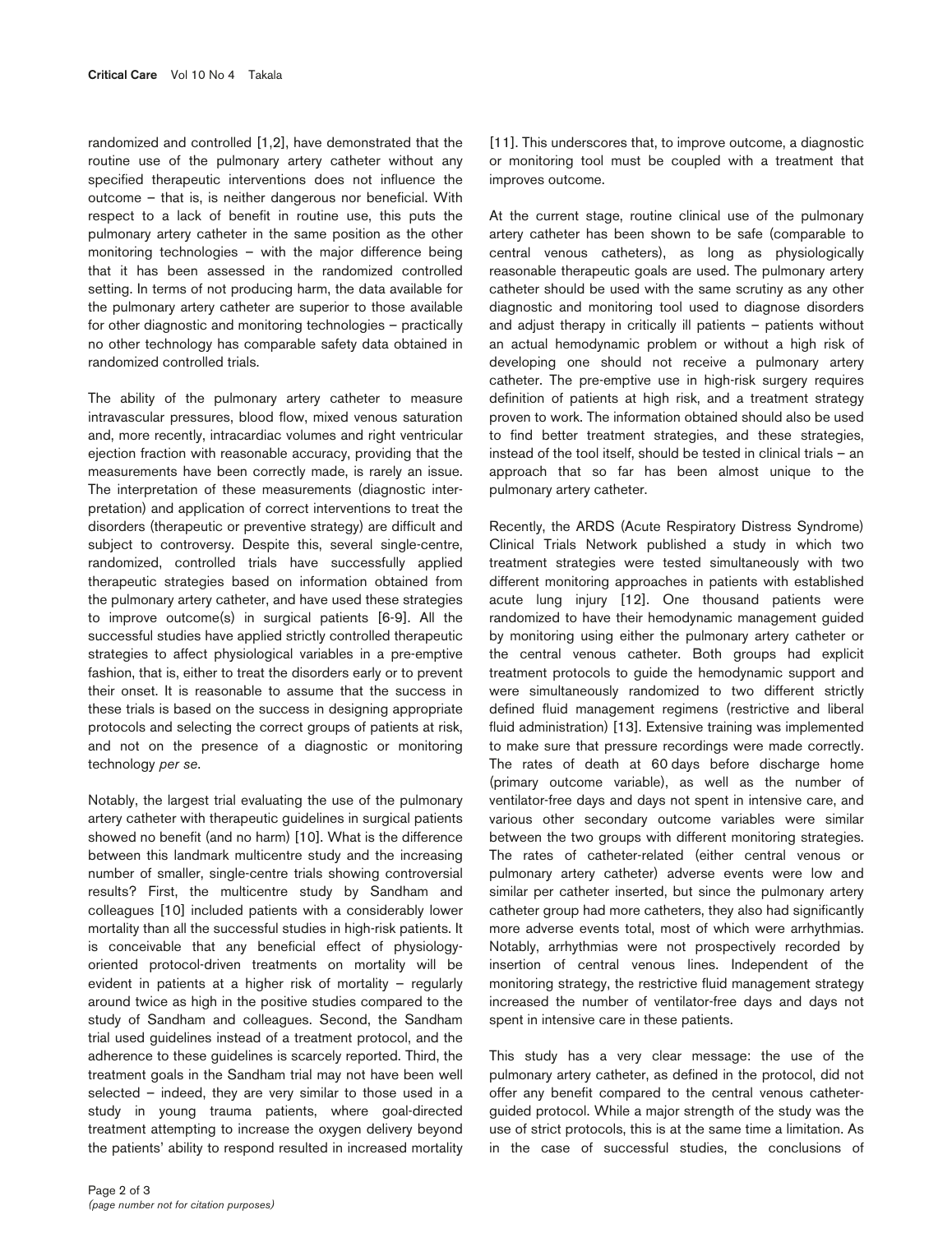randomized and controlled [1,2], have demonstrated that the routine use of the pulmonary artery catheter without any specified therapeutic interventions does not influence the outcome – that is, is neither dangerous nor beneficial. With respect to a lack of benefit in routine use, this puts the pulmonary artery catheter in the same position as the other monitoring technologies – with the major difference being that it has been assessed in the randomized controlled setting. In terms of not producing harm, the data available for the pulmonary artery catheter are superior to those available for other diagnostic and monitoring technologies – practically no other technology has comparable safety data obtained in randomized controlled trials.

The ability of the pulmonary artery catheter to measure intravascular pressures, blood flow, mixed venous saturation and, more recently, intracardiac volumes and right ventricular ejection fraction with reasonable accuracy, providing that the measurements have been correctly made, is rarely an issue. The interpretation of these measurements (diagnostic interpretation) and application of correct interventions to treat the disorders (therapeutic or preventive strategy) are difficult and subject to controversy. Despite this, several single-centre, randomized, controlled trials have successfully applied therapeutic strategies based on information obtained from the pulmonary artery catheter, and have used these strategies to improve outcome(s) in surgical patients [6-9]. All the successful studies have applied strictly controlled therapeutic strategies to affect physiological variables in a pre-emptive fashion, that is, either to treat the disorders early or to prevent their onset. It is reasonable to assume that the success in these trials is based on the success in designing appropriate protocols and selecting the correct groups of patients at risk, and not on the presence of a diagnostic or monitoring technology *per se*.

Notably, the largest trial evaluating the use of the pulmonary artery catheter with therapeutic guidelines in surgical patients showed no benefit (and no harm) [10]. What is the difference between this landmark multicentre study and the increasing number of smaller, single-centre trials showing controversial results? First, the multicentre study by Sandham and colleagues [10] included patients with a considerably lower mortality than all the successful studies in high-risk patients. It is conceivable that any beneficial effect of physiologyoriented protocol-driven treatments on mortality will be evident in patients at a higher risk of mortality – regularly around twice as high in the positive studies compared to the study of Sandham and colleagues. Second, the Sandham trial used guidelines instead of a treatment protocol, and the adherence to these guidelines is scarcely reported. Third, the treatment goals in the Sandham trial may not have been well selected – indeed, they are very similar to those used in a study in young trauma patients, where goal-directed treatment attempting to increase the oxygen delivery beyond the patients' ability to respond resulted in increased mortality [11]. This underscores that, to improve outcome, a diagnostic or monitoring tool must be coupled with a treatment that improves outcome.

At the current stage, routine clinical use of the pulmonary artery catheter has been shown to be safe (comparable to central venous catheters), as long as physiologically reasonable therapeutic goals are used. The pulmonary artery catheter should be used with the same scrutiny as any other diagnostic and monitoring tool used to diagnose disorders and adjust therapy in critically ill patients - patients without an actual hemodynamic problem or without a high risk of developing one should not receive a pulmonary artery catheter. The pre-emptive use in high-risk surgery requires definition of patients at high risk, and a treatment strategy proven to work. The information obtained should also be used to find better treatment strategies, and these strategies, instead of the tool itself, should be tested in clinical trials – an approach that so far has been almost unique to the pulmonary artery catheter.

Recently, the ARDS (Acute Respiratory Distress Syndrome) Clinical Trials Network published a study in which two treatment strategies were tested simultaneously with two different monitoring approaches in patients with established acute lung injury [12]. One thousand patients were randomized to have their hemodynamic management guided by monitoring using either the pulmonary artery catheter or the central venous catheter. Both groups had explicit treatment protocols to guide the hemodynamic support and were simultaneously randomized to two different strictly defined fluid management regimens (restrictive and liberal fluid administration) [13]. Extensive training was implemented to make sure that pressure recordings were made correctly. The rates of death at 60 days before discharge home (primary outcome variable), as well as the number of ventilator-free days and days not spent in intensive care, and various other secondary outcome variables were similar between the two groups with different monitoring strategies. The rates of catheter-related (either central venous or pulmonary artery catheter) adverse events were low and similar per catheter inserted, but since the pulmonary artery catheter group had more catheters, they also had significantly more adverse events total, most of which were arrhythmias. Notably, arrhythmias were not prospectively recorded by insertion of central venous lines. Independent of the monitoring strategy, the restrictive fluid management strategy increased the number of ventilator-free days and days not spent in intensive care in these patients.

This study has a very clear message: the use of the pulmonary artery catheter, as defined in the protocol, did not offer any benefit compared to the central venous catheterguided protocol. While a major strength of the study was the use of strict protocols, this is at the same time a limitation. As in the case of successful studies, the conclusions of